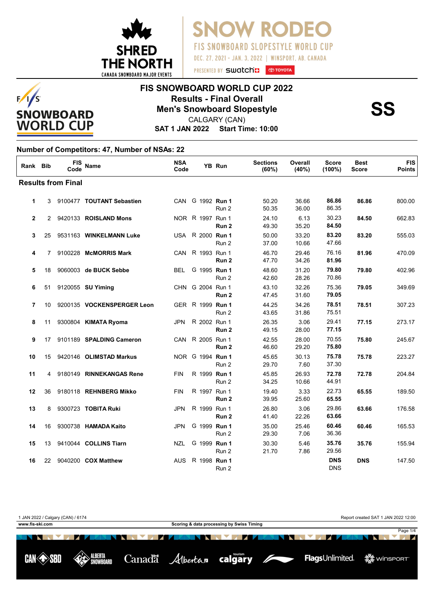

**SNOW RODE FIS SNOWBOARD SLOPESTYLE WORLD CUP** DEC. 27, 2021 - JAN. 3, 2022 | WINSPORT, AB. CANADA

## **FIS SNOWBOARD WORLD CUP 2022 Results - Final Overall<br>Men's Snowboard Slopestyle<br>CALGARY (CAN)**

**SAT 1 JAN 2022 Start Time: 10:00** CALGARY (CAN)

#### **Number of Competitors: 47, Number of NSAs: 22**

 $F/I/S$ 

**SNOWBOARD WORLD CUP** 

| Rank Bib     |                 | <b>FIS</b><br>Code        | Name                        | <b>NSA</b><br>Code |                  | YB Run           | <b>Sections</b><br>(60%) | Overall<br>(40%) | <b>Score</b><br>(100%)   | <b>Best</b><br><b>Score</b> | <b>FIS</b><br><b>Points</b> |
|--------------|-----------------|---------------------------|-----------------------------|--------------------|------------------|------------------|--------------------------|------------------|--------------------------|-----------------------------|-----------------------------|
|              |                 | <b>Results from Final</b> |                             |                    |                  |                  |                          |                  |                          |                             |                             |
| 1            |                 |                           | 3 9100477 TOUTANT Sebastien |                    | CAN G 1992 Run 1 | Run 2            | 50.20<br>50.35           | 36.66<br>36.00   | 86.86<br>86.35           | 86.86                       | 800.00                      |
| $\mathbf{2}$ |                 |                           | 2 9420133 ROISLAND Mons     |                    | NOR R 1997 Run 1 | Run <sub>2</sub> | 24.10<br>49.30           | 6.13<br>35.20    | 30.23<br>84.50           | 84.50                       | 662.83                      |
| 3            |                 |                           | 25 9531163 WINKELMANN Luke  |                    | USA R 2000 Run 1 | Run 2            | 50.00<br>37.00           | 33.20<br>10.66   | 83.20<br>47.66           | 83.20                       | 555.03                      |
| 4            | 7               |                           | 9100228 McMORRIS Mark       |                    | CAN R 1993 Run 1 | Run <sub>2</sub> | 46.70<br>47.70           | 29.46<br>34.26   | 76.16<br>81.96           | 81.96                       | 470.09                      |
| 5            | 18              |                           | 9060003 de BUCK Sebbe       | <b>BEL</b>         | G 1995 Run 1     | Run 2            | 48.60<br>42.60           | 31.20<br>28.26   | 79.80<br>70.86           | 79.80                       | 402.96                      |
| 6            | 51              |                           | 9120055 <b>SU Yiming</b>    |                    | CHN G 2004 Run 1 | Run <sub>2</sub> | 43.10<br>47.45           | 32.26<br>31.60   | 75.36<br>79.05           | 79.05                       | 349.69                      |
| 7            | 10 <sup>1</sup> |                           | 9200135 VOCKENSPERGER Leon  |                    | GER R 1999 Run 1 | Run 2            | 44.25<br>43.65           | 34.26<br>31.86   | 78.51<br>75.51           | 78.51                       | 307.23                      |
| 8            | 11              |                           | 9300804 KIMATA Ryoma        | <b>JPN</b>         | R 2002 Run 1     | Run 2            | 26.35<br>49.15           | 3.06<br>28.00    | 29.41<br>77.15           | 77.15                       | 273.17                      |
| 9            | 17              |                           | 9101189 SPALDING Cameron    |                    | CAN R 2005 Run 1 | Run <sub>2</sub> | 42.55<br>46.60           | 28.00<br>29.20   | 70.55<br>75.80           | 75.80                       | 245.67                      |
| 10           | 15              |                           | 9420146 OLIMSTAD Markus     |                    | NOR G 1994 Run 1 | Run 2            | 45.65<br>29.70           | 30.13<br>7.60    | 75.78<br>37.30           | 75.78                       | 223.27                      |
| 11           | 4               |                           | 9180149 RINNEKANGAS Rene    | <b>FIN</b>         | R 1999 Run 1     | Run 2            | 45.85<br>34.25           | 26.93<br>10.66   | 72.78<br>44.91           | 72.78                       | 204.84                      |
| 12           | 36              |                           | 9180118 REHNBERG Mikko      | <b>FIN</b>         | R 1997 Run 1     | Run 2            | 19.40<br>39.95           | 3.33<br>25.60    | 22.73<br>65.55           | 65.55                       | 189.50                      |
| 13           | 8               |                           | 9300723 TOBITA Ruki         | <b>JPN</b>         | R 1999 Run 1     | Run <sub>2</sub> | 26.80<br>41.40           | 3.06<br>22.26    | 29.86<br>63.66           | 63.66                       | 176.58                      |
| 14           | 16              |                           | 9300738 HAMADA Kaito        | <b>JPN</b>         | G 1999 Run 1     | Run 2            | 35.00<br>29.30           | 25.46<br>7.06    | 60.46<br>36.36           | 60.46                       | 165.53                      |
| 15           | 13              |                           | 9410044 COLLINS Tiarn       | <b>NZL</b>         | G 1999 Run 1     | Run 2            | 30.30<br>21.70           | 5.46<br>7.86     | 35.76<br>29.56           | 35.76                       | 155.94                      |
| 16           | 22              |                           | 9040200 COX Matthew         | <b>AUS</b>         | R 1998 Run 1     | Run 2            |                          |                  | <b>DNS</b><br><b>DNS</b> | <b>DNS</b>                  | 147.50                      |

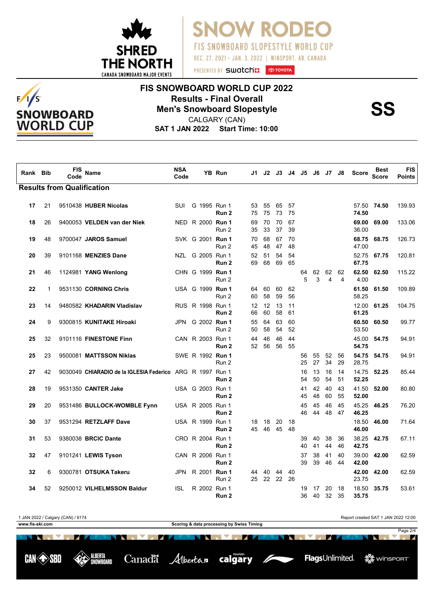

**SNOW RODE** FIS SNOWBOARD SLOPESTYLE WORLD CUP DEC. 27, 2021 - JAN. 3, 2022 | WINSPORT, AB. CANADA

#### $F/I/S$ **SNOWBOARD WORLD CUP**

## **FIS SNOWBOARD WORLD CUP 2022 Results - Final Overall<br>Men's Snowboard Slopestyle<br>CALGARY (CAN)**

**SAT 1 JAN 2022 Start Time: 10:00** CALGARY (CAN)

| Rank | <b>Bib</b>   | FIS<br>Code                       | <b>Name</b>                                               | <b>NSA</b><br>Code |  | YB Run                               |          | J1 J2 J3                |          |          | J4 J5 J6 |          | J7 J8    |          | <b>Score</b>   | Best<br><b>Score</b> | <b>FIS</b><br><b>Points</b> |
|------|--------------|-----------------------------------|-----------------------------------------------------------|--------------------|--|--------------------------------------|----------|-------------------------|----------|----------|----------|----------|----------|----------|----------------|----------------------|-----------------------------|
|      |              | <b>Results from Qualification</b> |                                                           |                    |  |                                      |          |                         |          |          |          |          |          |          |                |                      |                             |
| 17   | 21           |                                   | 9510438 HUBER Nicolas                                     | <b>SUI</b>         |  | G 1995 Run 1<br>Run 2                | 53<br>75 | 55<br>75                | 65<br>73 | 57<br>75 |          |          |          |          | 74.50          | 57.50 74.50          | 139.93                      |
| 18   | 26           |                                   | 9400053 VELDEN van der Niek                               |                    |  | NED R 2000 Run 1<br>Run 2            | 69<br>35 | 70<br>33                | 70<br>37 | 67<br>39 |          |          |          |          | 69.00<br>36.00 | 69.00                | 133.06                      |
| 19   | 48           |                                   | 9700047 JAROS Samuel                                      |                    |  | SVK G 2001 Run 1<br>Run 2            | 70<br>45 | 68<br>48                | 67<br>47 | 70<br>48 |          |          |          |          | 68.75<br>47.00 | 68.75                | 126.73                      |
| 20   | 39           |                                   | 9101168 MENZIES Dane                                      | NZL                |  | G 2005 Run 1<br>Run 2                | 52<br>69 | 51<br>68                | 54<br>69 | 54<br>65 |          |          |          |          | 52.75<br>67.75 | 67.75                | 120.81                      |
| 21   | 46           |                                   | 1124981 YANG Wenlong                                      |                    |  | CHN G 1999 Run 1<br>Run 2            |          |                         |          |          | 64<br>5  | 62<br>3  | 62<br>4  | 62<br>4  | 62.50<br>4.00  | 62.50                | 115.22                      |
| 22   | $\mathbf{1}$ |                                   | 9531130 CORNING Chris                                     |                    |  | USA G 1999 Run 1<br>Run 2            | 64<br>60 | 60<br>58                | 60<br>59 | 62<br>56 |          |          |          |          | 61.50<br>58.25 | 61.50                | 109.89                      |
| 23   | 14           |                                   | 9480582 KHADARIN Vladislav                                |                    |  | RUS R 1998 Run 1<br>Run 2            | 12<br>66 | $12 \overline{ }$<br>60 | 13<br>58 | 11<br>61 |          |          |          |          | 61.25          | 12.00 61.25          | 104.75                      |
| 24   | 9            |                                   | 9300815 KUNITAKE Hiroaki                                  | JPN                |  | G 2002 Run 1<br>Run 2                | 55<br>50 | 64<br>58                | 63<br>54 | 60<br>52 |          |          |          |          | 60.50<br>53.50 | 60.50                | 99.77                       |
| 25   | 32           |                                   | 9101116 FINESTONE Finn                                    |                    |  | CAN R 2003 Run 1<br>Run 2            | 44<br>52 | 46<br>56                | 46<br>56 | 44<br>55 |          |          |          |          | 45.00<br>54.75 | 54.75                | 94.91                       |
| 25   | 23           |                                   | 9500081 MATTSSON Niklas                                   |                    |  | SWE R 1992 Run 1<br>Run 2            |          |                         |          |          | 56<br>25 | 55<br>27 | 52<br>34 | 56<br>29 | 28.75          | 54.75 54.75          | 94.91                       |
| 27   | 42           |                                   | 9030049 CHIARADIO de la IGLESIA Federico ARG R 1997 Run 1 |                    |  | Run 2                                |          |                         |          |          | 16<br>54 | 13<br>50 | 16<br>54 | 14<br>51 | 14.75<br>52.25 | 52.25                | 85.44                       |
| 28   | 19           |                                   | 9531350 CANTER Jake                                       |                    |  | USA G 2003 Run 1<br>Run 2            |          |                         |          |          | 41<br>45 | 42<br>48 | 40<br>60 | 43<br>55 | 41.50<br>52.00 | 52.00                | 80.80                       |
| 29   | 20           |                                   | 9531486 BULLOCK-WOMBLE Fynn                               |                    |  | USA R 2005 Run 1<br>Run <sub>2</sub> |          |                         |          |          | 45<br>46 | 45<br>44 | 46<br>48 | 45<br>47 | 45.25<br>46.25 | 46.25                | 76.20                       |
| 30   | 37           |                                   | 9531294 RETZLAFF Dave                                     |                    |  | USA R 1999 Run 1<br>Run <sub>2</sub> | 18<br>45 | 18<br>46                | 20<br>45 | 18<br>48 |          |          |          |          | 18.50<br>46.00 | 46.00                | 71.64                       |
| 31   | 53           |                                   | 9380038 BRCIC Dante                                       |                    |  | CRO R 2004 Run 1<br>Run 2            |          |                         |          |          | 39<br>40 | 40<br>41 | 38<br>44 | 36<br>46 | 42.75          | 38.25 42.75          | 67.11                       |
| 32   | 47           |                                   | 9101241 LEWIS Tyson                                       |                    |  | CAN R 2006 Run 1<br>Run <sub>2</sub> |          |                         |          |          | 37<br>39 | 38<br>39 | 41<br>46 | 40<br>44 | 39.00<br>42.00 | 42.00                | 62.59                       |
| 32   | 6            |                                   | 9300781 OTSUKA Takeru                                     | JPN                |  | R 2001 Run 1<br>Run 2                | 44<br>25 | 40<br>22 22             | 44       | 40<br>26 |          |          |          |          | 42.00<br>23.75 | 42.00                | 62.59                       |
| 34   | 52           |                                   | 9250012 VILHELMSSON Baldur                                | <b>ISL</b>         |  | R 2002 Run 1<br>Run 2                |          |                         |          |          | 19<br>36 | 17<br>40 | 20<br>32 | 18<br>35 | 18.50<br>35.75 | 35.75                | 53.61                       |

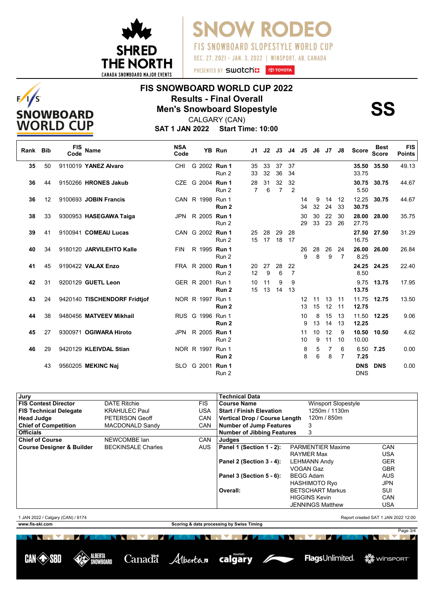

 $F/I/S$ 

**SNOWBOARD WORLD CUP**  **SNOW RODEO** FIS SNOWBOARD SLOPESTYLE WORLD CUP DEC. 27, 2021 - JAN. 3, 2022 | WINSPORT, AB. CANADA

# **FIS SNOWBOARD WORLD CUP 2022 Results - Final Overall<br>Men's Snowboard Slopestyle<br>CALGARY (CAN)**

Page 3/4

数 winsport<sup>-</sup>

FlagsUnlimited.

**SAT 1 JAN 2022 Start Time: 10:00** CALGARY (CAN)

| Rank Bib |                   | <b>FIS</b><br>Code | Name                         | <b>NSA</b><br>Code |                  | YB Run           | J1       | J2       | J3                   | J4                   | J5       | J6       | J7 J8    |                     | <b>Score</b>             | <b>Best</b><br><b>Score</b> | <b>FIS</b><br><b>Points</b> |
|----------|-------------------|--------------------|------------------------------|--------------------|------------------|------------------|----------|----------|----------------------|----------------------|----------|----------|----------|---------------------|--------------------------|-----------------------------|-----------------------------|
| 35       | 50                |                    | 9110019 YANEZ Alvaro         | <b>CHI</b>         | G 2002 Run 1     | Run 2            | 35<br>33 | 33<br>32 | 37<br>36             | 37<br>34             |          |          |          |                     | 35.50<br>33.75           | 35.50                       | 49.13                       |
| 36       | 44                |                    | 9150266 HRONES Jakub         |                    | CZE G 2004 Run 1 | Run 2            | 28<br>7  | 31<br>6  | 32<br>$\overline{7}$ | 32<br>2              |          |          |          |                     | 30.75<br>5.50            | 30.75                       | 44.67                       |
| 36       | $12 \overline{ }$ |                    | 9100693 JOBIN Francis        |                    | CAN R 1998 Run 1 | Run 2            |          |          |                      |                      | 14<br>34 | 9<br>32  | 14<br>24 | 12<br>33            | 12.25<br>30.75           | 30.75                       | 44.67                       |
| 38       | 33                |                    | 9300953 HASEGAWA Taiga       |                    | JPN R 2005 Run 1 | Run 2            |          |          |                      |                      | 30<br>29 | 30<br>33 | 22<br>23 | 30<br>26            | 28.00<br>27.75           | 28.00                       | 35.75                       |
| 39       | 41                |                    | 9100941 COMEAU Lucas         |                    | CAN G 2002 Run 1 | Run 2            | 25<br>15 | 28<br>17 | 29<br>18             | 28<br>17             |          |          |          |                     | 27.50<br>16.75           | 27.50                       | 31.29                       |
| 40       | 34                |                    | 9180120 JARVILEHTO Kalle     | <b>FIN</b>         | R 1995 Run 1     | Run 2            |          |          |                      |                      | 26<br>9  | 28<br>8  | 26<br>9  | 24<br>7             | 26.00<br>8.25            | 26.00                       | 26.84                       |
| 41       | 45                |                    | 9190422 VALAX Enzo           |                    | FRA R 2000 Run 1 | Run 2            | 20<br>12 | 27<br>9  | 28<br>6              | 22<br>$\overline{7}$ |          |          |          |                     | 8.50                     | 24.25 24.25                 | 22.40                       |
| 42       | 31                |                    | 9200129 GUETL Leon           |                    | GER R 2001 Run 1 | Run <sub>2</sub> | 10<br>15 | 11<br>13 | 9<br>14              | 9<br>13              |          |          |          |                     | 9.75<br>13.75            | 13.75                       | 17.95                       |
| 43       | 24                |                    | 9420140 TISCHENDORF Fridtjof |                    | NOR R 1997 Run 1 | Run 2            |          |          |                      |                      | 12<br>13 | 11<br>15 | 13<br>12 | 11<br>11            | 11.75<br>12.75           | 12.75                       | 13.50                       |
| 44       | 38                |                    | 9480456 MATVEEV Mikhail      |                    | RUS G 1996 Run 1 | Run 2            |          |          |                      |                      | 10<br>9  | 8<br>13  | 15<br>14 | 13<br>13            | 11.50<br>12.25           | 12.25                       | 9.06                        |
| 45       | 27                |                    | 9300971 OGIWARA Hiroto       |                    | JPN R 2005 Run 1 | Run 2            |          |          |                      |                      | 11<br>10 | 10<br>9  | 12<br>11 | 9<br>10             | 10.50<br>10.00           | 10.50                       | 4.62                        |
| 46       | 29                |                    | 9420129 KLEIVDAL Stian       |                    | NOR R 1997 Run 1 | Run 2            |          |          |                      |                      | 8<br>8   | 5<br>6   | 7<br>8   | 6<br>$\overline{7}$ | 6.50<br>7.25             | 7.25                        | 0.00                        |
|          | 43                |                    | 9560205 MEKINC Naj           |                    | SLO G 2001 Run 1 | Run 2            |          |          |                      |                      |          |          |          |                     | <b>DNS</b><br><b>DNS</b> | <b>DNS</b>                  | 0.00                        |

| Jury                                 |                           |            | <b>Technical Data</b>             |                          |            |
|--------------------------------------|---------------------------|------------|-----------------------------------|--------------------------|------------|
| <b>FIS Contest Director</b>          | <b>DATE Ritchie</b>       | <b>FIS</b> | <b>Course Name</b>                | Winsport Slopestyle      |            |
| <b>FIS Technical Delegate</b>        | <b>KRAHULEC Paul</b>      | <b>USA</b> | <b>Start / Finish Elevation</b>   | 1250m / 1130m            |            |
| <b>Head Judge</b>                    | <b>PETERSON Geoff</b>     | <b>CAN</b> | Vertical Drop / Course Length     | 120m / 850m              |            |
| <b>Chief of Competition</b>          | <b>MACDONALD Sandy</b>    | CAN        | Number of Jump Features           | 3                        |            |
| <b>Officials</b>                     |                           |            | <b>Number of Jibbing Features</b> | 3                        |            |
| <b>Chief of Course</b>               | NEWCOMBE Ian              | <b>CAN</b> | Judges                            |                          |            |
| <b>Course Designer &amp; Builder</b> | <b>BECKINSALE Charles</b> | <b>AUS</b> | Panel 1 (Section 1 - 2):          | <b>PARMENTIER Maxime</b> | <b>CAN</b> |
|                                      |                           |            |                                   | <b>RAYMER Max</b>        | <b>USA</b> |
|                                      |                           |            | Panel 2 (Section 3 - 4):          | <b>LEHMANN Andy</b>      | <b>GER</b> |
|                                      |                           |            |                                   | VOGAN Gaz                | <b>GBR</b> |
|                                      |                           |            | Panel 3 (Section 5 - 6):          | <b>BEGG Adam</b>         | <b>AUS</b> |
|                                      |                           |            |                                   | <b>HASHIMOTO Ryo</b>     | <b>JPN</b> |
|                                      |                           |            | Overall:                          | <b>BETSCHART Markus</b>  | SUI        |
|                                      |                           |            |                                   | <b>HIGGINS Kevin</b>     | CAN        |
|                                      |                           |            |                                   | <b>JENNINGS Matthew</b>  | <b>USA</b> |
|                                      |                           |            |                                   |                          |            |

1 JAN 2022 / Calgary (CAN) / 6174 Report created SAT 1 JAN 2022 12:00 **www.fis-ski.com Scoring & data processing by Swiss Timing NO. 15** NN MAR **The Company of the Company NEW YORK** 

ALBERTA

**NWROARD** 

**CAN SSBI** 

Canadä Albertan calgary